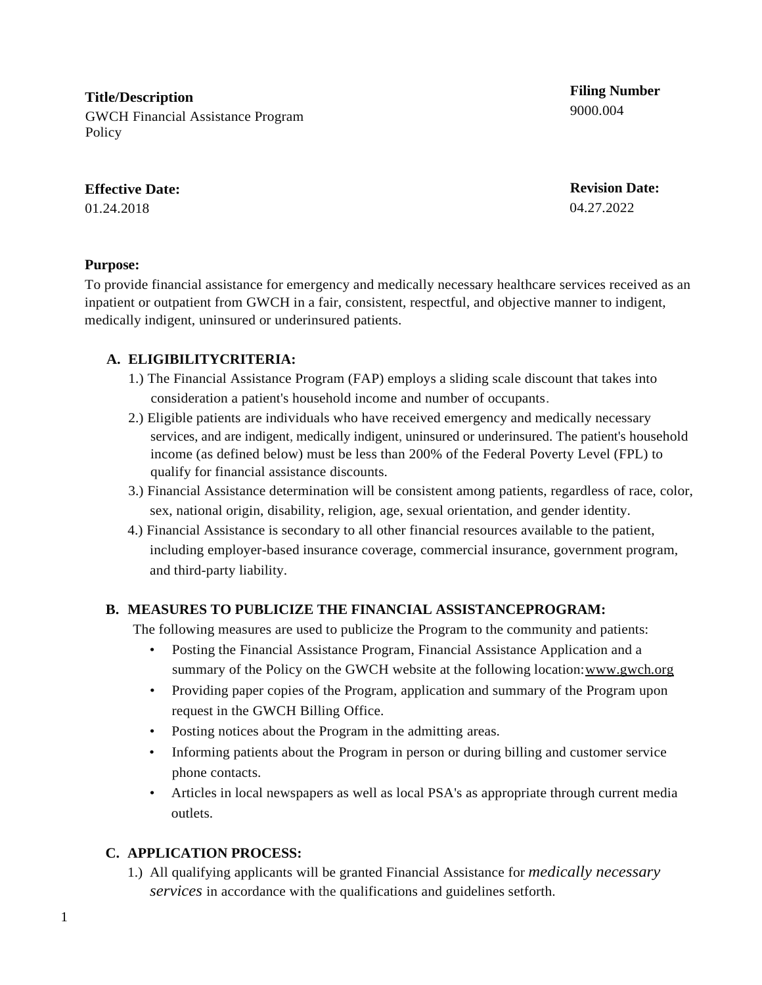**Title/Description** GWCH Financial Assistance Program **Policy** 

#### **Effective Date:**

01.24.2018

**Filing Number** 9000.004

**Revision Date:** 04.27.2022

#### **Purpose:**

To provide financial assistance for emergency and medically necessary healthcare services received as an inpatient or outpatient from GWCH in a fair, consistent, respectful, and objective manner to indigent, medically indigent, uninsured or underinsured patients.

## **A. ELIGIBILITYCRITERIA:**

- 1.) The Financial Assistance Program (FAP) employs a sliding scale discount that takes into consideration a patient's household income and number of occupants.
- 2.) Eligible patients are individuals who have received emergency and medically necessary services, and are indigent, medically indigent, uninsured or underinsured. The patient's household income (as defined below) must be less than 200% of the Federal Poverty Level (FPL) to qualify for financial assistance discounts.
- 3.) Financial Assistance determination will be consistent among patients, regardless of race, color, sex, national origin, disability, religion, age, sexual orientation, and gender identity.
- 4.) Financial Assistance is secondary to all other financial resources available to the patient, including employer-based insurance coverage, commercial insurance, government program, and third-party liability.

## **B. MEASURES TO PUBLICIZE THE FINANCIAL ASSISTANCEPROGRAM:**

The following measures are used to publicize the Program to the community and patients:

- Posting the Financial Assistance Program, Financial Assistance Application and a summary of the Policy on the GWCH website at the following location: www.gwch.org
- Providing paper copies of the Program, application and summary of the Program upon request in the GWCH Billing Office.
- Posting notices about the Program in the admitting areas.
- Informing patients about the Program in person or during billing and customer service phone contacts.
- Articles in local newspapers as well as local PSA's as appropriate through current media outlets.

## **C. APPLICATION PROCESS:**

1.) All qualifying applicants will be granted Financial Assistance for *medically necessary services* in accordance with the qualifications and guidelines setforth.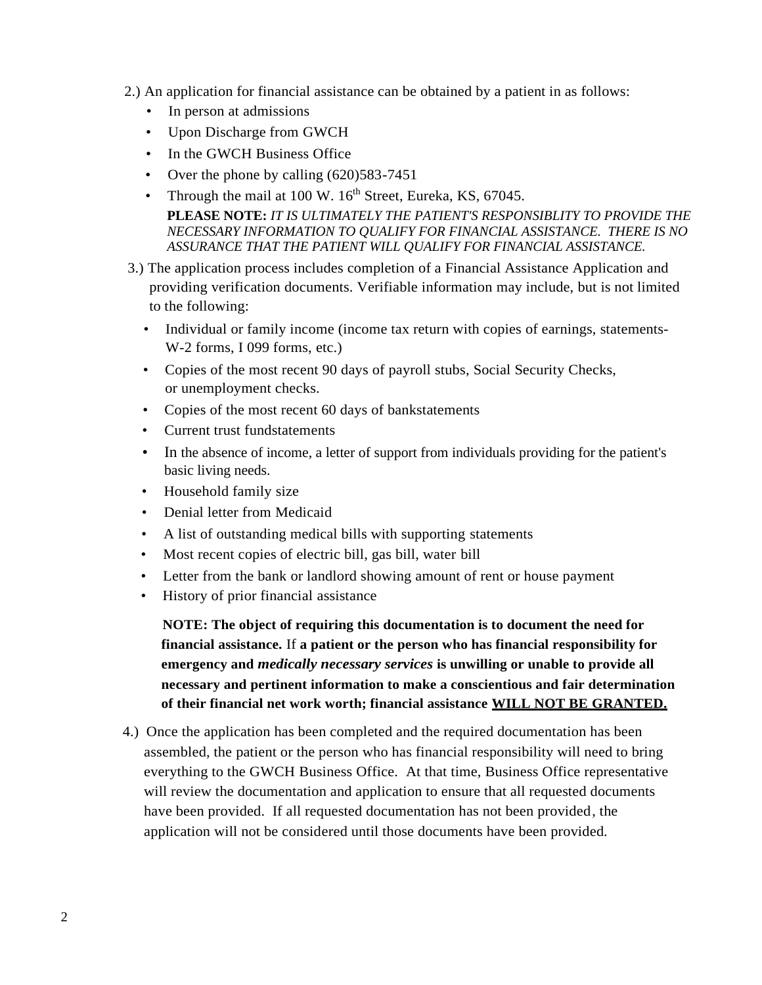- 2.) An application for financial assistance can be obtained by a patient in as follows:
	- In person at admissions
	- Upon Discharge from GWCH
	- In the GWCH Business Office
	- Over the phone by calling (620) 583-7451
	- Through the mail at 100 W.  $16<sup>th</sup>$  Street, Eureka, KS, 67045. **PLEASE NOTE:** *IT IS ULTIMATELY THE PATIENT'S RESPONSIBLITY TO PROVIDE THE NECESSARY INFORMATION TO QUALIFY FOR FINANCIAL ASSISTANCE. THERE IS NO ASSURANCE THAT THE PATIENT WILL QUALIFY FOR FINANCIAL ASSISTANCE.*
- 3.) The application process includes completion of a Financial Assistance Application and providing verification documents. Verifiable information may include, but is not limited to the following:
	- Individual or family income (income tax return with copies of earnings, statements-W-2 forms, I 099 forms, etc.)
	- Copies of the most recent 90 days of payroll stubs, Social Security Checks, or unemployment checks.
	- Copies of the most recent 60 days of bankstatements
	- Current trust fundstatements
	- In the absence of income, a letter of support from individuals providing for the patient's basic living needs.
	- Household family size
	- Denial letter from Medicaid
	- A list of outstanding medical bills with supporting statements
	- Most recent copies of electric bill, gas bill, water bill
	- Letter from the bank or landlord showing amount of rent or house payment
	- History of prior financial assistance

**NOTE: The object of requiring this documentation is to document the need for financial assistance.** If **a patient or the person who has financial responsibility for emergency and** *medically necessary services* **is unwilling or unable to provide all necessary and pertinent information to make a conscientious and fair determination of their financial net work worth; financial assistance WILL NOT BE GRANTED.**

4.) Once the application has been completed and the required documentation has been assembled, the patient or the person who has financial responsibility will need to bring everything to the GWCH Business Office. At that time, Business Office representative will review the documentation and application to ensure that all requested documents have been provided. If all requested documentation has not been provided, the application will not be considered until those documents have been provided.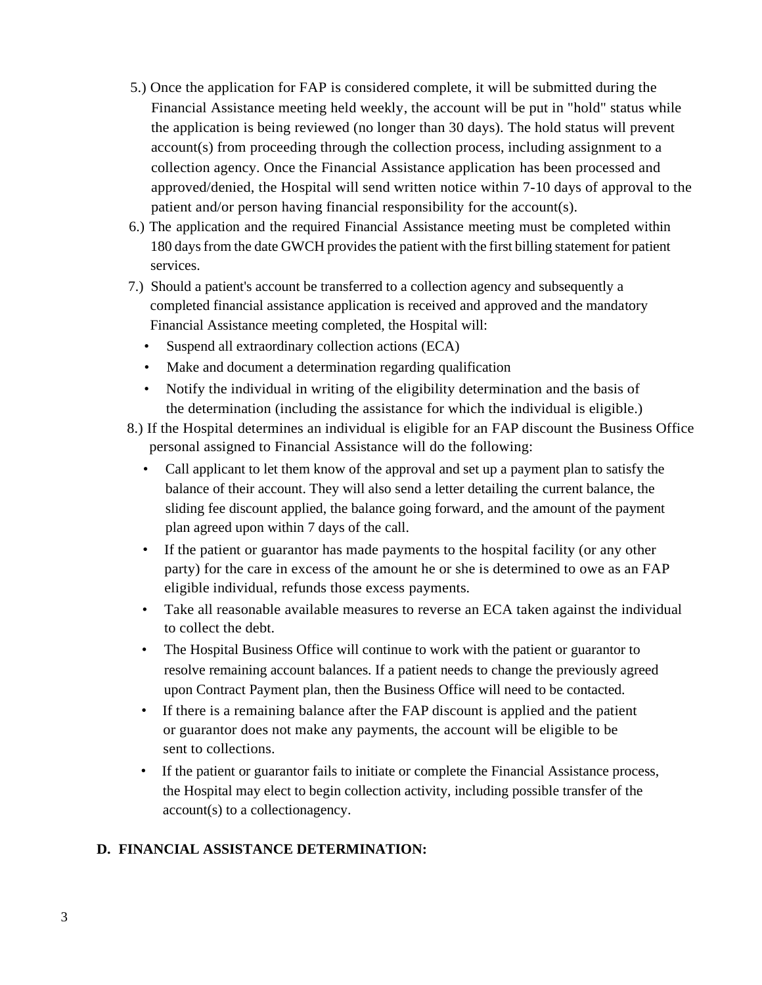- 5.) Once the application for FAP is considered complete, it will be submitted during the Financial Assistance meeting held weekly, the account will be put in "hold" status while the application is being reviewed (no longer than 30 days). The hold status will prevent account(s) from proceeding through the collection process, including assignment to a collection agency. Once the Financial Assistance application has been processed and approved/denied, the Hospital will send written notice within 7-10 days of approval to the patient and/or person having financial responsibility for the account(s).
- 6.) The application and the required Financial Assistance meeting must be completed within 180 days from the date GWCH provides the patient with the first billing statement for patient services.
- 7.) Should a patient's account be transferred to a collection agency and subsequently a completed financial assistance application is received and approved and the mandatory Financial Assistance meeting completed, the Hospital will:
	- Suspend all extraordinary collection actions (ECA)
	- Make and document a determination regarding qualification
	- Notify the individual in writing of the eligibility determination and the basis of the determination (including the assistance for which the individual is eligible.)
- 8.) If the Hospital determines an individual is eligible for an FAP discount the Business Office personal assigned to Financial Assistance will do the following:
	- Call applicant to let them know of the approval and set up a payment plan to satisfy the balance of their account. They will also send a letter detailing the current balance, the sliding fee discount applied, the balance going forward, and the amount of the payment plan agreed upon within 7 days of the call.
	- If the patient or guarantor has made payments to the hospital facility (or any other party) for the care in excess of the amount he or she is determined to owe as an FAP eligible individual, refunds those excess payments.
	- Take all reasonable available measures to reverse an ECA taken against the individual to collect the debt.
	- The Hospital Business Office will continue to work with the patient or guarantor to resolve remaining account balances. If a patient needs to change the previously agreed upon Contract Payment plan, then the Business Office will need to be contacted.
	- If there is a remaining balance after the FAP discount is applied and the patient or guarantor does not make any payments, the account will be eligible to be sent to collections.
	- If the patient or guarantor fails to initiate or complete the Financial Assistance process, the Hospital may elect to begin collection activity, including possible transfer of the account(s) to a collectionagency.

# **D. FINANCIAL ASSISTANCE DETERMINATION:**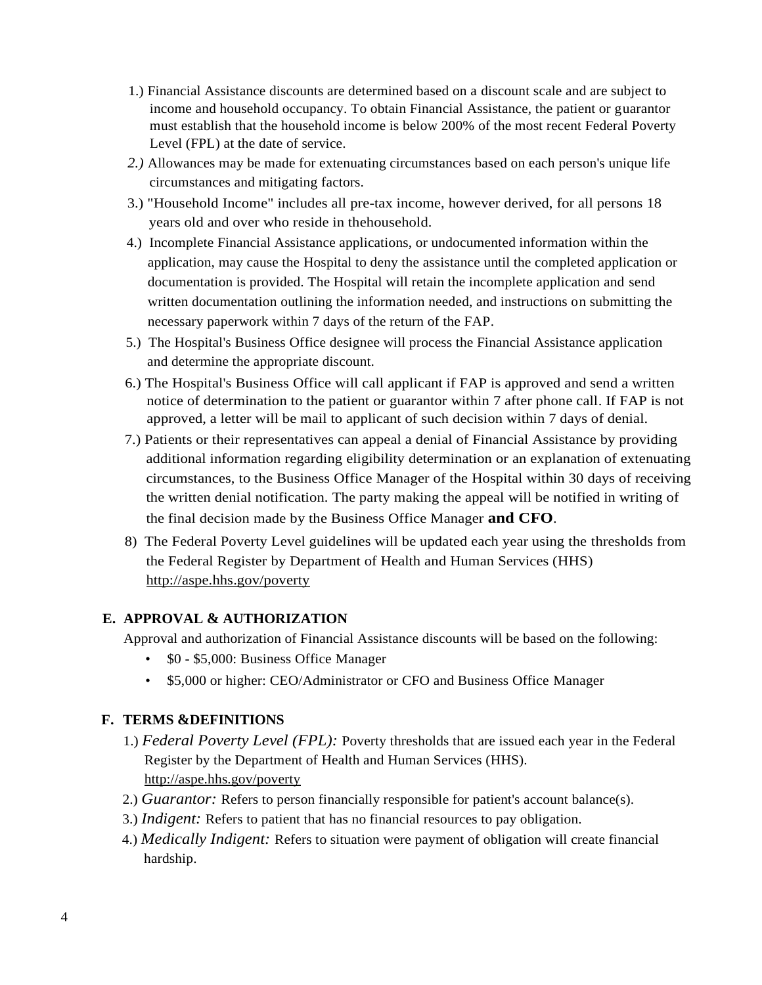- 1.) Financial Assistance discounts are determined based on a discount scale and are subject to income and household occupancy. To obtain Financial Assistance, the patient or guarantor must establish that the household income is below 200% of the most recent Federal Poverty Level (FPL) at the date of service.
- *2.)* Allowances may be made for extenuating circumstances based on each person's unique life circumstances and mitigating factors.
- 3.) "Household Income" includes all pre-tax income, however derived, for all persons 18 years old and over who reside in thehousehold.
- 4.) Incomplete Financial Assistance applications, or undocumented information within the application, may cause the Hospital to deny the assistance until the completed application or documentation is provided. The Hospital will retain the incomplete application and send written documentation outlining the information needed, and instructions on submitting the necessary paperwork within 7 days of the return of the FAP.
- 5.) The Hospital's Business Office designee will process the Financial Assistance application and determine the appropriate discount.
- 6.) The Hospital's Business Office will call applicant if FAP is approved and send a written notice of determination to the patient or guarantor within 7 after phone call. If FAP is not approved, a letter will be mail to applicant of such decision within 7 days of denial.
- 7.) Patients or their representatives can appeal a denial of Financial Assistance by providing additional information regarding eligibility determination or an explanation of extenuating circumstances, to the Business Office Manager of the Hospital within 30 days of receiving the written denial notification. The party making the appeal will be notified in writing of the final decision made by the Business Office Manager **and CFO**.
- 8) The Federal Poverty Level guidelines will be updated each year using the thresholds from the Federal Register by Department of Health and Human Services (HHS) http://aspe.hhs.gov/poverty

## **E. APPROVAL & AUTHORIZATION**

Approval and authorization of Financial Assistance discounts will be based on the following:

- \$0 \$5,000: Business Office Manager
- \$5,000 or higher: CEO/Administrator or CFO and Business Office Manager

## **F. TERMS &DEFINITIONS**

- 1.) *Federal Poverty Level (FPL):* Poverty thresholds that are issued each year in the Federal Register by the Department of Health and Human Services (HHS). <http://aspe.hhs.gov/poverty>
- 2.) *Guarantor:* Refers to person financially responsible for patient's account balance(s).
- 3.) *Indigent:* Refers to patient that has no financial resources to pay obligation.
- 4.) *Medically Indigent:* Refers to situation were payment of obligation will create financial hardship.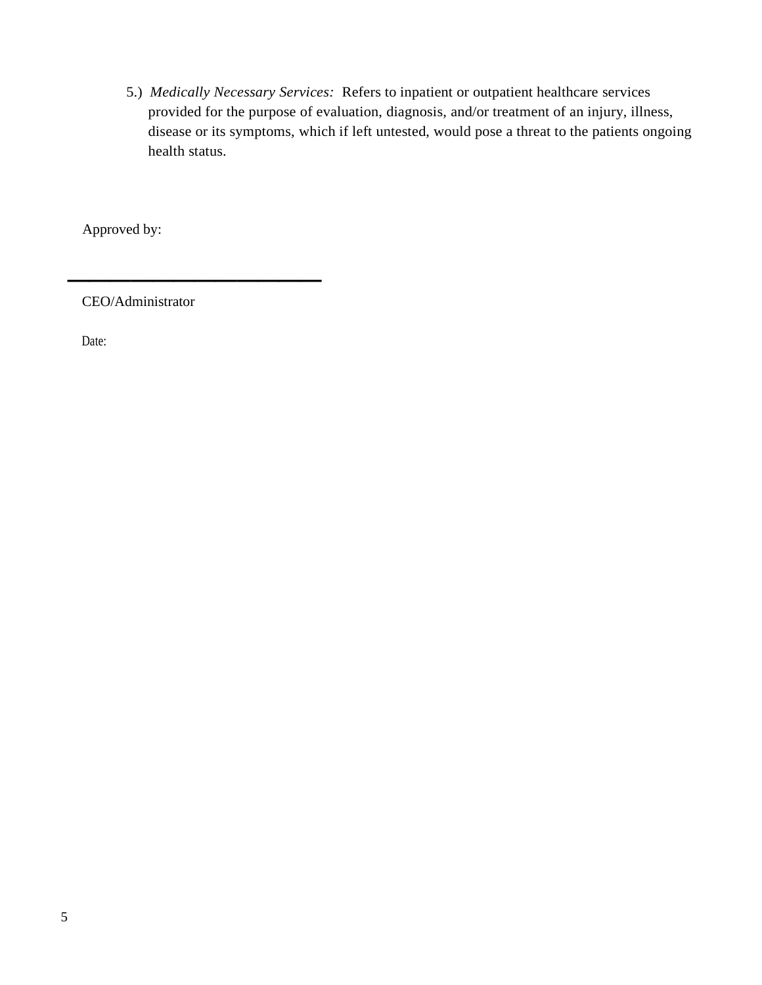5.) *Medically Necessary Services:* Refers to inpatient or outpatient healthcare services provided for the purpose of evaluation, diagnosis, and/or treatment of an injury, illness, disease or its symptoms, which if left untested, would pose a threat to the patients ongoing health status.

Approved by:

CEO/Administrator

*\_\_\_\_\_\_\_\_\_\_\_\_*

Date: